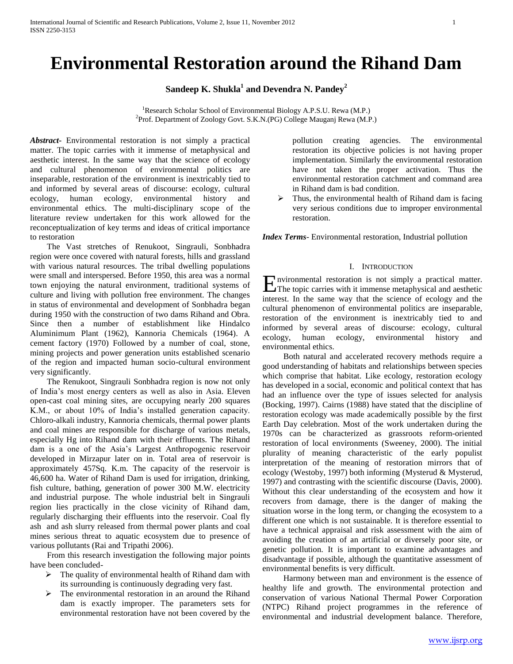# **Environmental Restoration around the Rihand Dam**

**Sandeep K. Shukla<sup>1</sup> and Devendra N. Pandey<sup>2</sup>**

<sup>1</sup>Research Scholar School of Environmental Biology A.P.S.U. Rewa (M.P.) <sup>2</sup>Prof. Department of Zoology Govt. S.K.N.(PG) College Mauganj Rewa (M.P.)

*Abstract***-** Environmental restoration is not simply a practical matter. The topic carries with it immense of metaphysical and aesthetic interest. In the same way that the science of ecology and cultural phenomenon of environmental politics are inseparable, restoration of the environment is inextricably tied to and informed by several areas of discourse: ecology, cultural ecology, human ecology, environmental history and environmental ethics. The multi-disciplinary scope of the literature review undertaken for this work allowed for the reconceptualization of key terms and ideas of critical importance to restoration

 The Vast stretches of Renukoot, Singrauli, Sonbhadra region were once covered with natural forests, hills and grassland with various natural resources. The tribal dwelling populations were small and interspersed. Before 1950, this area was a normal town enjoying the natural environment, traditional systems of culture and living with pollution free environment. The changes in status of environmental and development of Sonbhadra began during 1950 with the construction of two dams Rihand and Obra. Since then a number of establishment like Hindalco Aluminimum Plant (1962), Kannoria Chemicals (1964). A cement factory (1970) Followed by a number of coal, stone, mining projects and power generation units established scenario of the region and impacted human socio-cultural environment very significantly.

 The Renukoot, Singrauli Sonbhadra region is now not only of India"s most energy centers as well as also in Asia. Eleven open-cast coal mining sites, are occupying nearly 200 squares K.M., or about 10% of India"s installed generation capacity. Chloro-alkali industry, Kannoria chemicals, thermal power plants and coal mines are responsible for discharge of various metals, especially Hg into Rihand dam with their effluents. The Rihand dam is a one of the Asia"s Largest Anthropogenic reservoir developed in Mirzapur later on in. Total area of reservoir is approximately 457Sq. K.m. The capacity of the reservoir is 46,600 ha. Water of Rihand Dam is used for irrigation, drinking, fish culture, bathing, generation of power 300 M.W. electricity and industrial purpose. The whole industrial belt in Singrauli region lies practically in the close vicinity of Rihand dam, regularly discharging their effluents into the reservoir. Coal fly ash and ash slurry released from thermal power plants and coal mines serious threat to aquatic ecosystem due to presence of various pollutants (Rai and Tripathi 2006).

 From this research investigation the following major points have been concluded-

- $\triangleright$  The quality of environmental health of Rihand dam with its surrounding is continuously degrading very fast.
- > The environmental restoration in an around the Rihand dam is exactly improper. The parameters sets for environmental restoration have not been covered by the

pollution creating agencies. The environmental restoration its objective policies is not having proper implementation. Similarly the environmental restoration have not taken the proper activation. Thus the environmental restoration catchment and command area in Rihand dam is bad condition.

 Thus, the environmental health of Rihand dam is facing very serious conditions due to improper environmental restoration.

*Index Terms*- Environmental restoration, Industrial pollution

#### I. INTRODUCTION

nvironmental restoration is not simply a practical matter. **E**nvironmental restoration is not simply a practical matter.<br>The topic carries with it immense metaphysical and aesthetic interest. In the same way that the science of ecology and the cultural phenomenon of environmental politics are inseparable, restoration of the environment is inextricably tied to and informed by several areas of discourse: ecology, cultural ecology, human ecology, environmental history and environmental ethics.

 Both natural and accelerated recovery methods require a good understanding of habitats and relationships between species which comprise that habitat. Like ecology, restoration ecology has developed in a social, economic and political context that has had an influence over the type of issues selected for analysis (Bocking, 1997). Cairns (1988) have stated that the discipline of restoration ecology was made academically possible by the first Earth Day celebration. Most of the work undertaken during the 1970s can be characterized as grassroots reform-oriented restoration of local environments (Sweeney, 2000). The initial plurality of meaning characteristic of the early populist interpretation of the meaning of restoration mirrors that of ecology (Westoby, 1997) both informing (Mysterud & Mysterud, 1997) and contrasting with the scientific discourse (Davis, 2000). Without this clear understanding of the ecosystem and how it recovers from damage, there is the danger of making the situation worse in the long term, or changing the ecosystem to a different one which is not sustainable. It is therefore essential to have a technical appraisal and risk assessment with the aim of avoiding the creation of an artificial or diversely poor site, or genetic pollution. It is important to examine advantages and disadvantage if possible, although the quantitative assessment of environmental benefits is very difficult.

 Harmony between man and environment is the essence of healthy life and growth. The environmental protection and conservation of various National Thermal Power Corporation (NTPC) Rihand project programmes in the reference of environmental and industrial development balance. Therefore,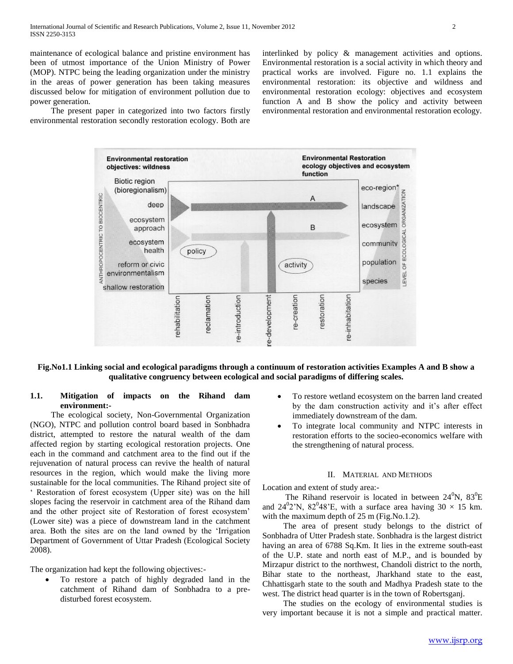maintenance of ecological balance and pristine environment has been of utmost importance of the Union Ministry of Power (MOP). NTPC being the leading organization under the ministry in the areas of power generation has been taking measures discussed below for mitigation of environment pollution due to power generation.

 The present paper in categorized into two factors firstly environmental restoration secondly restoration ecology. Both are interlinked by policy & management activities and options. Environmental restoration is a social activity in which theory and practical works are involved. Figure no. 1.1 explains the environmental restoration: its objective and wildness and environmental restoration ecology: objectives and ecosystem function A and B show the policy and activity between environmental restoration and environmental restoration ecology.



**Fig.No1.1 Linking social and ecological paradigms through a continuum of restoration activities Examples A and B show a qualitative congruency between ecological and social paradigms of differing scales.**

# **1.1. Mitigation of impacts on the Rihand dam environment:-**

 The ecological society, Non-Governmental Organization (NGO), NTPC and pollution control board based in Sonbhadra district, attempted to restore the natural wealth of the dam affected region by starting ecological restoration projects. One each in the command and catchment area to the find out if the rejuvenation of natural process can revive the health of natural resources in the region, which would make the living more sustainable for the local communities. The Rihand project site of

' Restoration of forest ecosystem (Upper site) was on the hill slopes facing the reservoir in catchment area of the Rihand dam and the other project site of Restoration of forest ecosystem" (Lower site) was a piece of downstream land in the catchment area. Both the sites are on the land owned by the "Irrigation Department of Government of Uttar Pradesh (Ecological Society 2008).

The organization had kept the following objectives:-

 To restore a patch of highly degraded land in the catchment of Rihand dam of Sonbhadra to a predisturbed forest ecosystem.

- To restore wetland ecosystem on the barren land created by the dam construction activity and it's after effect immediately downstream of the dam.
- To integrate local community and NTPC interests in restoration efforts to the socieo-economics welfare with the strengthening of natural process.

#### II. MATERIAL AND METHODS

Location and extent of study area:-

The Rihand reservoir is located in between  $24^0$ N,  $83^0$ E and  $24^0$ 2'N,  $82^0$ 48'E, with a surface area having  $30 \times 15$  km. with the maximum depth of 25 m (Fig.No.1.2).

 The area of present study belongs to the district of Sonbhadra of Utter Pradesh state. Sonbhadra is the largest district having an area of 6788 Sq.Km. It lies in the extreme south-east of the U.P. state and north east of M.P., and is bounded by Mirzapur district to the northwest, Chandoli district to the north, Bihar state to the northeast, Jharkhand state to the east, Chhattisgarh state to the south and Madhya Pradesh state to the west. The district head quarter is in the town of Robertsganj.

 The studies on the ecology of environmental studies is very important because it is not a simple and practical matter.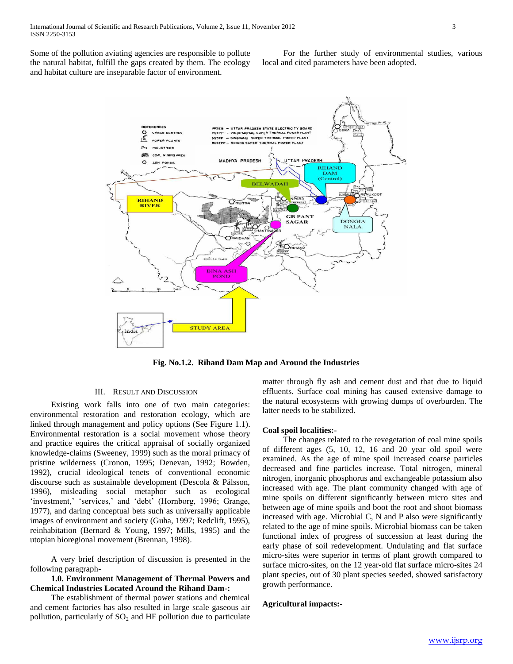Some of the pollution aviating agencies are responsible to pollute the natural habitat, fulfill the gaps created by them. The ecology and habitat culture are inseparable factor of environment.

 For the further study of environmental studies, various local and cited parameters have been adopted.



**Fig. No.1.2. Rihand Dam Map and Around the Industries**

#### III. RESULT AND DISCUSSION

 Existing work falls into one of two main categories: environmental restoration and restoration ecology, which are linked through management and policy options (See Figure 1.1). Environmental restoration is a social movement whose theory and practice equires the critical appraisal of socially organized knowledge-claims (Sweeney, 1999) such as the moral primacy of pristine wilderness (Cronon, 1995; Denevan, 1992; Bowden, 1992), crucial ideological tenets of conventional economic discourse such as sustainable development (Descola & Pálsson, 1996), misleading social metaphor such as ecological 'investment,' 'services,' and 'debt' (Hornborg, 1996; Grange, 1977), and daring conceptual bets such as universally applicable images of environment and society (Guha, 1997; Redclift, 1995), reinhabitation (Bernard & Young, 1997; Mills, 1995) and the utopian bioregional movement (Brennan, 1998).

 A very brief description of discussion is presented in the following paragraph-

## **1.0. Environment Management of Thermal Powers and Chemical Industries Located Around the Rihand Dam-:**

 The establishment of thermal power stations and chemical and cement factories has also resulted in large scale gaseous air pollution, particularly of  $SO<sub>2</sub>$  and HF pollution due to particulate

matter through fly ash and cement dust and that due to liquid effluents. Surface coal mining has caused extensive damage to the natural ecosystems with growing dumps of overburden. The latter needs to be stabilized.

#### **Coal spoil localities:-**

 The changes related to the revegetation of coal mine spoils of different ages (5, 10, 12, 16 and 20 year old spoil were examined. As the age of mine spoil increased coarse particles decreased and fine particles increase. Total nitrogen, mineral nitrogen, inorganic phosphorus and exchangeable potassium also increased with age. The plant community changed with age of mine spoils on different significantly between micro sites and between age of mine spoils and boot the root and shoot biomass increased with age. Microbial C, N and P also were significantly related to the age of mine spoils. Microbial biomass can be taken functional index of progress of succession at least during the early phase of soil redevelopment. Undulating and flat surface micro-sites were superior in terms of plant growth compared to surface micro-sites, on the 12 year-old flat surface micro-sites 24 plant species, out of 30 plant species seeded, showed satisfactory growth performance.

## **Agricultural impacts:-**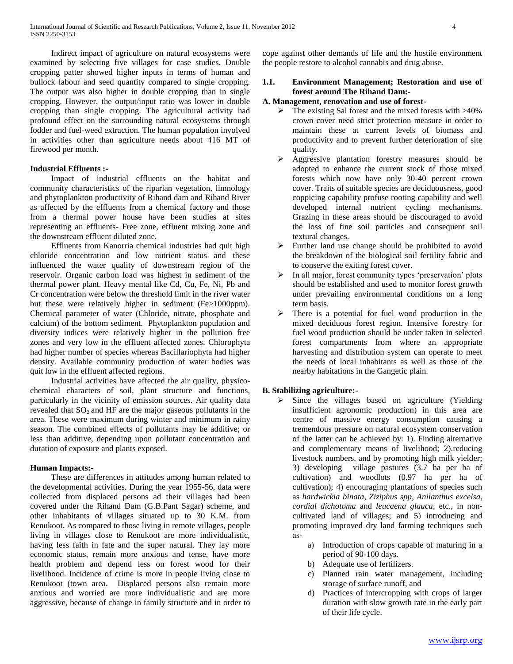Indirect impact of agriculture on natural ecosystems were examined by selecting five villages for case studies. Double cropping patter showed higher inputs in terms of human and bullock labour and seed quantity compared to single cropping. The output was also higher in double cropping than in single cropping. However, the output/input ratio was lower in double cropping than single cropping. The agricultural activity had profound effect on the surrounding natural ecosystems through fodder and fuel-weed extraction. The human population involved in activities other than agriculture needs about 416 MT of firewood per month.

#### **Industrial Effluents :-**

 Impact of industrial effluents on the habitat and community characteristics of the riparian vegetation, limnology and phytoplankton productivity of Rihand dam and Rihand River as affected by the effluents from a chemical factory and those from a thermal power house have been studies at sites representing an effluents- Free zone, effluent mixing zone and the downstream effluent diluted zone.

 Effluents from Kanorria chemical industries had quit high chloride concentration and low nutrient status and these influenced the water quality of downstream region of the reservoir. Organic carbon load was highest in sediment of the thermal power plant. Heavy mental like Cd, Cu, Fe, Ni, Pb and Cr concentration were below the threshold limit in the river water but these were relatively higher in sediment (Fe>1000ppm). Chemical parameter of water (Chloride, nitrate, phosphate and calcium) of the bottom sediment. Phytoplankton population and diversity indices were relatively higher in the pollution free zones and very low in the effluent affected zones. Chlorophyta had higher number of species whereas Bacillariophyta had higher density. Available community production of water bodies was quit low in the effluent affected regions.

 Industrial activities have affected the air quality, physicochemical characters of soil, plant structure and functions, particularly in the vicinity of emission sources. Air quality data revealed that  $SO_2$  and HF are the major gaseous pollutants in the area. These were maximum during winter and minimum in rainy season. The combined effects of pollutants may be additive; or less than additive, depending upon pollutant concentration and duration of exposure and plants exposed.

#### **Human Impacts:-**

 These are differences in attitudes among human related to the developmental activities. During the year 1955-56, data were collected from displaced persons ad their villages had been covered under the Rihand Dam (G.B.Pant Sagar) scheme, and other inhabitants of villages situated up to 30 K.M. from Renukoot. As compared to those living in remote villages, people living in villages close to Renukoot are more individualistic, having less faith in fate and the super natural. They lay more economic status, remain more anxious and tense, have more health problem and depend less on forest wood for their livelihood. Incidence of crime is more in people living close to Renukoot (town area. Displaced persons also remain more anxious and worried are more individualistic and are more aggressive, because of change in family structure and in order to

cope against other demands of life and the hostile environment the people restore to alcohol cannabis and drug abuse.

# **1.1. Environment Management; Restoration and use of forest around The Rihand Dam:-**

#### **A. Management, renovation and use of forest-**

- $\triangleright$  The existing Sal forest and the mixed forests with  $>40\%$ crown cover need strict protection measure in order to maintain these at current levels of biomass and productivity and to prevent further deterioration of site quality.
- Aggressive plantation forestry measures should be adopted to enhance the current stock of those mixed forests which now have only 30-40 percent crown cover. Traits of suitable species are deciduousness, good coppicing capability profuse rooting capability and well developed internal nutrient cycling mechanisms. Grazing in these areas should be discouraged to avoid the loss of fine soil particles and consequent soil textural changes.
- $\triangleright$  Further land use change should be prohibited to avoid the breakdown of the biological soil fertility fabric and to conserve the exiting forest cover.
- $\triangleright$  In all major, forest community types 'preservation' plots should be established and used to monitor forest growth under prevailing environmental conditions on a long term basis.
- $\triangleright$  There is a potential for fuel wood production in the mixed deciduous forest region. Intensive forestry for fuel wood production should be under taken in selected forest compartments from where an appropriate harvesting and distribution system can operate to meet the needs of local inhabitants as well as those of the nearby habitations in the Gangetic plain.

## **B. Stabilizing agriculture:-**

- $\triangleright$  Since the villages based on agriculture (Yielding insufficient agronomic production) in this area are centre of massive energy consumption causing a tremendous pressure on natural ecosystem conservation of the latter can be achieved by: 1). Finding alternative and complementary means of livelihood; 2).reducing livestock numbers, and by promoting high milk yielder; 3) developing village pastures (3.7 ha per ha of cultivation) and woodlots (0.97 ha per ha of cultivation); 4) encouraging plantations of species such as *hardwickia binata*, *Ziziphus spp*, *Anilanthus excelsa*, *cordial dichotoma* and *leucaena glauca*, etc., in noncultivated land of villages; and 5) introducing and promoting improved dry land farming techniques such as
	- a) Introduction of crops capable of maturing in a period of 90-100 days.
	- b) Adequate use of fertilizers.
	- c) Planned rain water management, including storage of surface runoff, and
	- d) Practices of intercropping with crops of larger duration with slow growth rate in the early part of their life cycle.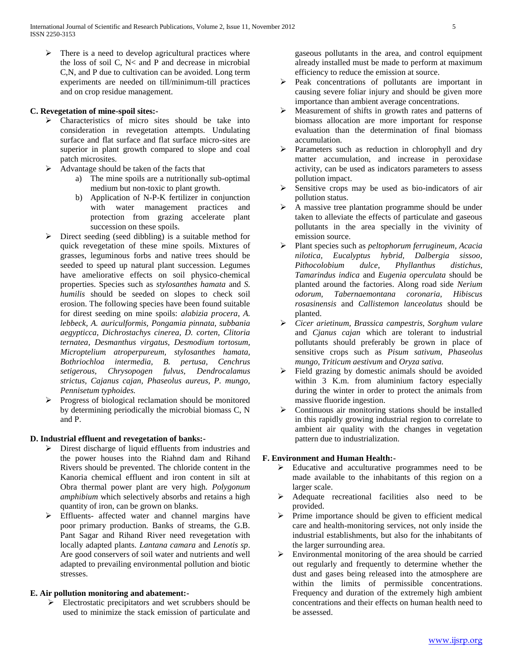$\triangleright$  There is a need to develop agricultural practices where the loss of soil C, N< and P and decrease in microbial C,N, and P due to cultivation can be avoided. Long term experiments are needed on till/minimum-till practices and on crop residue management.

# **C. Revegetation of mine-spoil sites:-**

- Characteristics of micro sites should be take into consideration in revegetation attempts. Undulating surface and flat surface and flat surface micro-sites are superior in plant growth compared to slope and coal patch microsites.
- $\triangleright$  Advantage should be taken of the facts that
	- a) The mine spoils are a nutritionally sub-optimal medium but non-toxic to plant growth.
	- b) Application of N-P-K fertilizer in conjunction with water management practices and protection from grazing accelerate plant succession on these spoils.
- Direct seeding (seed dibbling) is a suitable method for quick revegetation of these mine spoils. Mixtures of grasses, leguminous forbs and native trees should be seeded to speed up natural plant succession. Legumes have ameliorative effects on soil physico-chemical properties. Species such as *stylosanthes hamata* and *S. humilis* should be seeded on slopes to check soil erosion. The following species have been found suitable for direst seeding on mine spoils: *alabizia procera*, *A. lebbeck, A. auriculformis, Pongamia pinnata, subbania aegypticca, Dichrostachys cinerea, D. corten, Clitoria ternatea, Desmanthus virgatus, Desmodium tortosum, Microptelium atroperpureum, stylosanthes hamata, Bothriochloa intermedia, B. pertusa, Cenchrus setigerous, Chrysopogen fulvus, Dendrocalamus strictus, Cajanus cajan, Phaseolus aureus, P. mungo, Pennisetum typhoides.*
- $\triangleright$  Progress of biological reclamation should be monitored by determining periodically the microbial biomass C, N and P.

## **D. Industrial effluent and revegetation of banks:-**

- Direst discharge of liquid effluents from industries and the power houses into the Riahnd dam and Rihand Rivers should be prevented. The chloride content in the Kanoria chemical effluent and iron content in silt at Obra thermal power plant are very high. *Polygonum amphibium* which selectively absorbs and retains a high quantity of iron, can be grown on blanks.
- Effluents- affected water and channel margins have poor primary production. Banks of streams, the G.B. Pant Sagar and Rihand River need revegetation with locally adapted plants. *Lantana camara* and *Lenotis sp*. Are good conservers of soil water and nutrients and well adapted to prevailing environmental pollution and biotic stresses.

# **E. Air pollution monitoring and abatement:-**

Electrostatic precipitators and wet scrubbers should be used to minimize the stack emission of particulate and

gaseous pollutants in the area, and control equipment already installed must be made to perform at maximum efficiency to reduce the emission at source.

- $\triangleright$  Peak concentrations of pollutants are important in causing severe foliar injury and should be given more importance than ambient average concentrations.
- Measurement of shifts in growth rates and patterns of biomass allocation are more important for response evaluation than the determination of final biomass accumulation.
- Parameters such as reduction in chlorophyll and dry matter accumulation, and increase in peroxidase activity, can be used as indicators parameters to assess pollution impact.
- $\triangleright$  Sensitive crops may be used as bio-indicators of air pollution status.
- $\triangleright$  A massive tree plantation programme should be under taken to alleviate the effects of particulate and gaseous pollutants in the area specially in the vivinity of emission source.
- Plant species such as *peltophorum ferrugineum, Acacia nilotica, Eucalyptus hybrid, Dalbergia sissoo, Pithocolobium dulce*, *Phyllanthus distichus, Tamarindus indica* and *Eugenia operculata* should be planted around the factories. Along road side *Nerium odorum, Tabernaemontana coronaria, Hibiscus rosasinensis* and *Callistemon lanceolatus* should be planted.
- *Cicer arietinum, Brassica campestris, Sorghum vulare* and *Cjanus cajan* which are tolerant to industrial pollutants should preferably be grown in place of sensitive crops such as *Pisum sativum, Phaseolus mungo, Triticum aestivum* and *Oryza sativa.*
- Field grazing by domestic animals should be avoided within 3 K.m. from aluminium factory especially during the winter in order to protect the animals from massive fluoride ingestion.
- $\triangleright$  Continuous air monitoring stations should be installed in this rapidly growing industrial region to correlate to ambient air quality with the changes in vegetation pattern due to industrialization.

# **F. Environment and Human Health:-**

- $\triangleright$  Educative and acculturative programmes need to be made available to the inhabitants of this region on a larger scale.
- Adequate recreational facilities also need to be provided.
- Prime importance should be given to efficient medical care and health-monitoring services, not only inside the industrial establishments, but also for the inhabitants of the larger surrounding area.
- $\triangleright$  Environmental monitoring of the area should be carried out regularly and frequently to determine whether the dust and gases being released into the atmosphere are within the limits of permissible concentrations. Frequency and duration of the extremely high ambient concentrations and their effects on human health need to be assessed.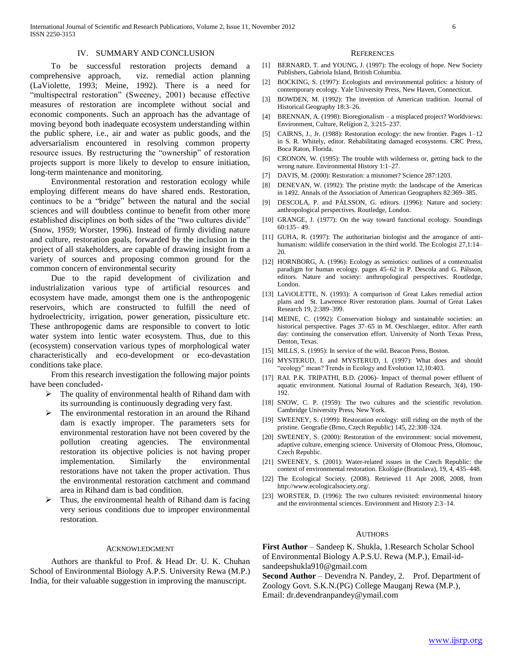#### IV. SUMMARY AND CONCLUSION

 To be successful restoration projects demand a comprehensive approach, viz. remedial action planning (LaViolette, 1993; Meine, 1992). There is a need for "multispectral restoration" (Sweeney, 2001) because effective measures of restoration are incomplete without social and economic components. Such an approach has the advantage of moving beyond both inadequate ecosystem understanding within the public sphere, i.e., air and water as public goods, and the adversarialism encountered in resolving common property resource issues. By restructuring the "ownership" of restoration projects support is more likely to develop to ensure initiation, long-term maintenance and monitoring.

 Environmental restoration and restoration ecology while employing different means do have shared ends. Restoration, continues to be a "bridge" between the natural and the social sciences and will doubtless continue to benefit from other more established disciplines on both sides of the "two cultures divide" (Snow, 1959; Worster, 1996). Instead of firmly dividing nature and culture, restoration goals, forwarded by the inclusion in the project of all stakeholders, are capable of drawing insight from a variety of sources and proposing common ground for the common concern of environmental security

 Due to the rapid development of civilization and industrialization various type of artificial resources and ecosystem have made, amongst them one is the anthropogenic reservoirs, which are constructed to fulfill the need of hydroelectricity, irrigation, power generation, pissiculture etc. These anthropogenic dams are responsible to convert to lotic water system into lentic water ecosystem. Thus, due to this (ecosystem) conservation various types of morphological water characteristically and eco-development or eco-devastation conditions take place.

 From this research investigation the following major points have been concluded-

- $\triangleright$  The quality of environmental health of Rihand dam with its surrounding is continuously degrading very fast.
- The environmental restoration in an around the Rihand dam is exactly improper. The parameters sets for environmental restoration have not been covered by the pollution creating agencies. The environmental restoration its objective policies is not having proper implementation. Similarly the environmental restorations have not taken the proper activation. Thus the environmental restoration catchment and command area in Rihand dam is bad condition.
- Thus, the environmental health of Rihand dam is facing very serious conditions due to improper environmental restoration.

#### ACKNOWLEDGMENT

 Authors are thankful to Prof. & Head Dr. U. K. Chuhan School of Environmental Biology A.P.S. University Rewa (M.P.) India, for their valuable suggestion in improving the manuscript.

#### **REFERENCES**

- [1] BERNARD, T. and YOUNG, J. (1997): The ecology of hope. New Society Publishers, Gabriola Island, British Columbia.
- [2] BOCKING, S. (1997): Ecologists and environmental politics: a history of contemporary ecology. Yale University Press, New Haven, Connecticut.
- [3] BOWDEN, M. (1992): The invention of American tradition. Journal of Historical Geography 18:3–26.
- [4] BRENNAN, A. (1998): Bioregionalism a misplaced project? Worldviews: Environment, Culture, Religion 2, 3:215–237.
- [5] CAIRNS, J., Jr. (1988): Restoration ecology: the new frontier. Pages 1–12 in S. R. Whitely, editor. Rehabilitating damaged ecosystems. CRC Press, Boca Raton, Florida.
- [6] CRONON, W. (1995): The trouble with wilderness or, getting back to the wrong nature. Environmental History 1:1–27.
- [7] DAVIS, M. (2000): Restoration: a misnomer? Science 287:1203.
- [8] DENEVAN, W. (1992): The pristine myth: the landscape of the Americas in 1492. Annals of the Association of American Geographers 82:369–385.
- [9] DESCOLA, P. and PÁLSSON, G. editors. (1996): Nature and society: anthropological perspectives. Routledge, London.
- [10] GRANGE, J. (1977): On the way toward functional ecology. Soundings 60:135– 49.
- [11] GUHA, R. (1997): The authoritarian biologist and the arrogance of antihumanism: wildlife conservation in the third world. The Ecologist 27,1:14– 20.
- [12] HORNBORG, A. (1996): Ecology as semiotics: outlines of a contextualist paradigm for human ecology. pages 45–62 in P. Descola and G. Pálsson, editors. Nature and society: anthropological perspectives. Routledge, London.
- [13] LaViOLETTE, N. (1993): A comparison of Great Lakes remedial action plans and St. Lawrence River restoration plans. Journal of Great Lakes Research 19, 2:389–399.
- [14] MEINE, C. (1992): Conservation biology and sustainable societies: an historical perspective. Pages 37–65 in M. Oeschlaeger, editor. After earth day: continuing the conservation effort. University of North Texas Press, Denton, Texas.
- [15] MILLS, S. (1995): In service of the wild. Beacon Press, Boston.
- [16] MYSTERUD, I. and MYSTERUD, I. (1997): What does and should "ecology" mean? Trends in Ecology and Evolution 12,10:403.
- [17] RAI. P.K. TRIPATHI, B.D. (2006)- Impact of thermal power effluent of aquatic environment. National Journal of Radiation Research, 3(4), 190- 192.
- [18] SNOW, C. P. (1959): The two cultures and the scientific revolution. Cambridge University Press, New York.
- [19] SWEENEY, S. (1999): Restoration ecology: still riding on the myth of the pristine. Geografie (Brno, Czech Republic) 145, 22:308–324.
- [20] SWEENEY, S. (2000): Restoration of the environment: social movement, adaptive culture, emerging science. University of Olomouc Press, Olomouc, Czech Republic.
- [21] SWEENEY, S. (2001): Water-related issues in the Czech Republic: the context of environmental restoration. Ekológie (Bratislava), 19, 4, 435–448.
- [22] The Ecological Society. (2008). Retrieved 11 Apr 2008, 2008, from http://www.ecologicalsociety.org/.
- [23] WORSTER, D. (1996): The two cultures revisited: environmental history and the environmental sciences. Environment and History 2:3–14.

#### AUTHORS

**First Author** – Sandeep K. Shukla, 1.Research Scholar School of Environmental Biology A.P.S.U. Rewa (M.P.), Email-idsandeepshukla910@gmail.com

**Second Author** – Devendra N. Pandey, 2. Prof. Department of Zoology Govt. S.K.N.(PG) College Mauganj Rewa (M.P.), Email: dr.devendranpandey@ymail.com